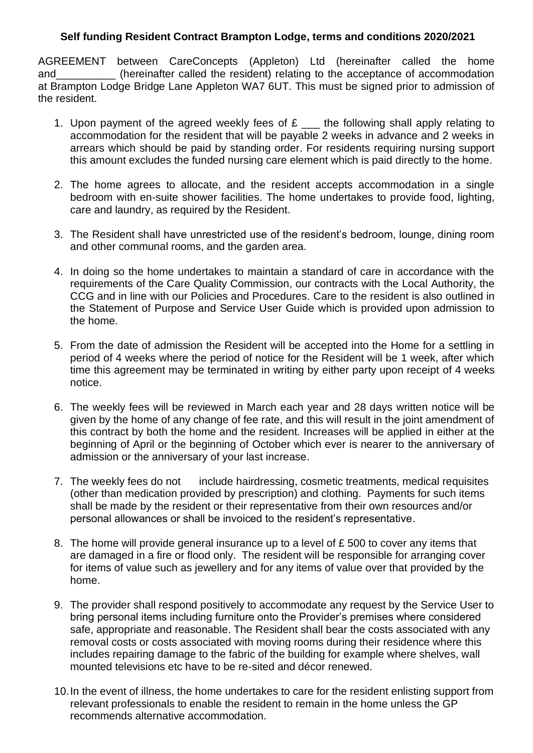## **Self funding Resident Contract Brampton Lodge, terms and conditions 2020/2021**

AGREEMENT between CareConcepts (Appleton) Ltd (hereinafter called the home and (hereinafter called the resident) relating to the acceptance of accommodation at Brampton Lodge Bridge Lane Appleton WA7 6UT. This must be signed prior to admission of the resident.

- 1. Upon payment of the agreed weekly fees of  $E$  \_\_\_ the following shall apply relating to accommodation for the resident that will be payable 2 weeks in advance and 2 weeks in arrears which should be paid by standing order. For residents requiring nursing support this amount excludes the funded nursing care element which is paid directly to the home.
- 2. The home agrees to allocate, and the resident accepts accommodation in a single bedroom with en-suite shower facilities. The home undertakes to provide food, lighting, care and laundry, as required by the Resident.
- 3. The Resident shall have unrestricted use of the resident's bedroom, lounge, dining room and other communal rooms, and the garden area.
- 4. In doing so the home undertakes to maintain a standard of care in accordance with the requirements of the Care Quality Commission, our contracts with the Local Authority, the CCG and in line with our Policies and Procedures. Care to the resident is also outlined in the Statement of Purpose and Service User Guide which is provided upon admission to the home.
- 5. From the date of admission the Resident will be accepted into the Home for a settling in period of 4 weeks where the period of notice for the Resident will be 1 week, after which time this agreement may be terminated in writing by either party upon receipt of 4 weeks notice.
- 6. The weekly fees will be reviewed in March each year and 28 days written notice will be given by the home of any change of fee rate, and this will result in the joint amendment of this contract by both the home and the resident. Increases will be applied in either at the beginning of April or the beginning of October which ever is nearer to the anniversary of admission or the anniversary of your last increase.
- 7. The weekly fees do not include hairdressing, cosmetic treatments, medical requisites (other than medication provided by prescription) and clothing. Payments for such items shall be made by the resident or their representative from their own resources and/or personal allowances or shall be invoiced to the resident's representative.
- 8. The home will provide general insurance up to a level of £ 500 to cover any items that are damaged in a fire or flood only. The resident will be responsible for arranging cover for items of value such as jewellery and for any items of value over that provided by the home.
- 9. The provider shall respond positively to accommodate any request by the Service User to bring personal items including furniture onto the Provider's premises where considered safe, appropriate and reasonable. The Resident shall bear the costs associated with any removal costs or costs associated with moving rooms during their residence where this includes repairing damage to the fabric of the building for example where shelves, wall mounted televisions etc have to be re-sited and décor renewed.
- 10.In the event of illness, the home undertakes to care for the resident enlisting support from relevant professionals to enable the resident to remain in the home unless the GP recommends alternative accommodation.